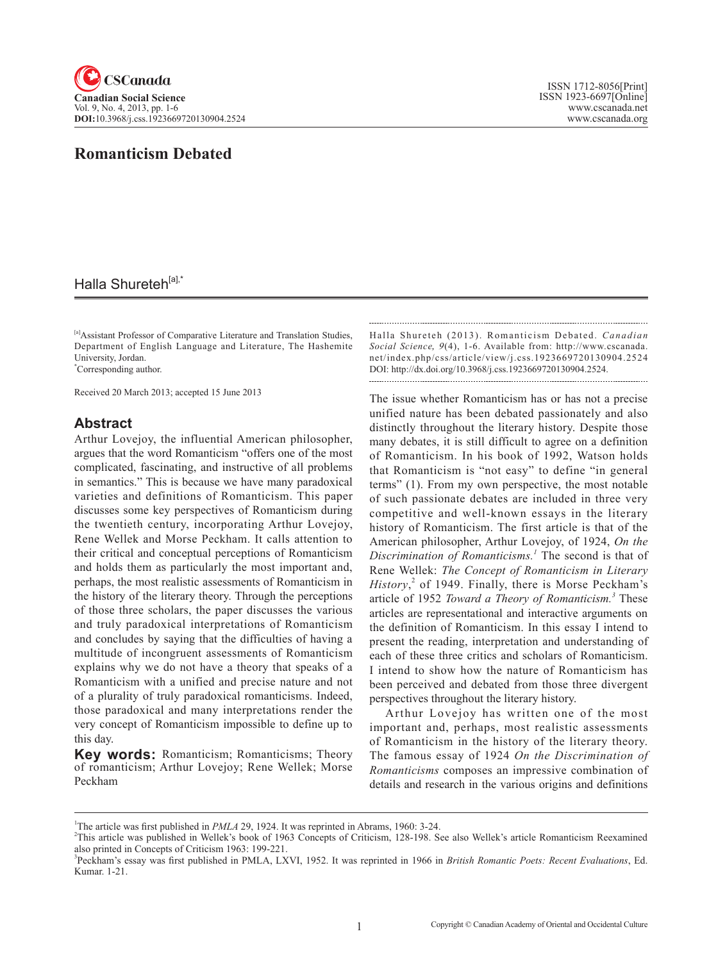

# **Romanticism Debated**

## Halla Shureteh<sup>[a],\*</sup>

[a]Assistant Professor of Comparative Literature and Translation Studies, Department of English Language and Literature, The Hashemite University, Jordan.

\* Corresponding author.

Received 20 March 2013; accepted 15 June 2013

#### **Abstract**

Arthur Lovejoy, the influential American philosopher, argues that the word Romanticism "offers one of the most complicated, fascinating, and instructive of all problems in semantics." This is because we have many paradoxical varieties and definitions of Romanticism. This paper discusses some key perspectives of Romanticism during the twentieth century, incorporating Arthur Lovejoy, Rene Wellek and Morse Peckham. It calls attention to their critical and conceptual perceptions of Romanticism and holds them as particularly the most important and, perhaps, the most realistic assessments of Romanticism in the history of the literary theory. Through the perceptions of those three scholars, the paper discusses the various and truly paradoxical interpretations of Romanticism and concludes by saying that the difficulties of having a multitude of incongruent assessments of Romanticism explains why we do not have a theory that speaks of a Romanticism with a unified and precise nature and not of a plurality of truly paradoxical romanticisms. Indeed, those paradoxical and many interpretations render the very concept of Romanticism impossible to define up to this day.

**Key words:** Romanticism; Romanticisms; Theory of romanticism; Arthur Lovejoy; Rene Wellek; Morse Peckham

Halla Shureteh (2013). Romanticism Debated. *Canadian Social Science*, 9(4), 1-6. Available from: http://www.cscanada. net/index.php/css/article/view/j.css.1923669720130904.2524 DOI: http://dx.doi.org/10.3968/j.css.1923669720130904.2524.

The issue whether Romanticism has or has not a precise unified nature has been debated passionately and also distinctly throughout the literary history. Despite those many debates, it is still difficult to agree on a definition of Romanticism. In his book of 1992, Watson holds that Romanticism is "not easy" to define "in general terms" (1). From my own perspective, the most notable of such passionate debates are included in three very competitive and well-known essays in the literary history of Romanticism. The first article is that of the American philosopher, Arthur Lovejoy, of 1924, *On the Discrimination of Romanticisms.<sup>1</sup>* The second is that of Rene Wellek: *The Concept of Romanticism in Literary History*, 2 of 1949. Finally, there is Morse Peckham's article of 1952 *Toward a Theory of Romanticism.<sup>3</sup>* These articles are representational and interactive arguments on the definition of Romanticism. In this essay I intend to present the reading, interpretation and understanding of each of these three critics and scholars of Romanticism. I intend to show how the nature of Romanticism has been perceived and debated from those three divergent perspectives throughout the literary history.

Arthur Lovejoy has written one of the most important and, perhaps, most realistic assessments of Romanticism in the history of the literary theory. The famous essay of 1924 *On the Discrimination of Romanticisms* composes an impressive combination of details and research in the various origins and definitions

<sup>&</sup>lt;sup>1</sup>The article was first published in *PMLA* 29, 1924. It was reprinted in Abrams, 1960: 3-24.<br><sup>2</sup>This article was published in Wallak's book of 1962. Consents of Critician, 128, 198, 8

<sup>&</sup>lt;sup>2</sup>This article was published in Wellek's book of 1963 Concepts of Criticism, 128-198. See also Wellek's article Romanticism Reexamined also printed in Concepts of Criticism 1963: 199-221.

<sup>3</sup> Peckham's essay was first published in PMLA, LXVI, 1952. It was reprinted in 1966 in *British Romantic Poets: Recent Evaluations*, Ed. Kumar. 1-21.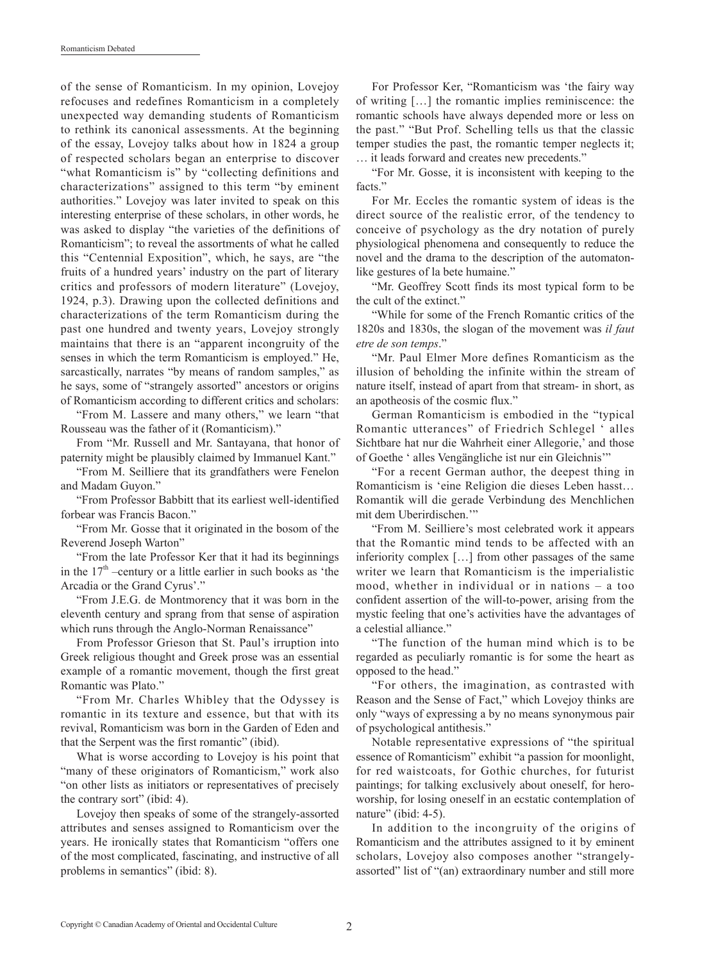of the sense of Romanticism. In my opinion, Lovejoy refocuses and redefines Romanticism in a completely unexpected way demanding students of Romanticism to rethink its canonical assessments. At the beginning of the essay, Lovejoy talks about how in 1824 a group of respected scholars began an enterprise to discover "what Romanticism is" by "collecting definitions and characterizations" assigned to this term "by eminent authorities." Lovejoy was later invited to speak on this interesting enterprise of these scholars, in other words, he was asked to display "the varieties of the definitions of Romanticism"; to reveal the assortments of what he called this "Centennial Exposition", which, he says, are "the fruits of a hundred years' industry on the part of literary critics and professors of modern literature" (Lovejoy, 1924, p.3). Drawing upon the collected definitions and characterizations of the term Romanticism during the past one hundred and twenty years, Lovejoy strongly maintains that there is an "apparent incongruity of the senses in which the term Romanticism is employed." He, sarcastically, narrates "by means of random samples," as he says, some of "strangely assorted" ancestors or origins of Romanticism according to different critics and scholars:

"From M. Lassere and many others," we learn "that Rousseau was the father of it (Romanticism)."

From "Mr. Russell and Mr. Santayana, that honor of paternity might be plausibly claimed by Immanuel Kant."

"From M. Seilliere that its grandfathers were Fenelon and Madam Guyon."

"From Professor Babbitt that its earliest well-identified forbear was Francis Bacon."

"From Mr. Gosse that it originated in the bosom of the Reverend Joseph Warton"

"From the late Professor Ker that it had its beginnings in the  $17<sup>th</sup>$  –century or a little earlier in such books as 'the Arcadia or the Grand Cyrus'."

"From J.E.G. de Montmorency that it was born in the eleventh century and sprang from that sense of aspiration which runs through the Anglo-Norman Renaissance"

From Professor Grieson that St. Paul's irruption into Greek religious thought and Greek prose was an essential example of a romantic movement, though the first great Romantic was Plato."

"From Mr. Charles Whibley that the Odyssey is romantic in its texture and essence, but that with its revival, Romanticism was born in the Garden of Eden and that the Serpent was the first romantic" (ibid).

What is worse according to Lovejoy is his point that "many of these originators of Romanticism," work also "on other lists as initiators or representatives of precisely the contrary sort" (ibid: 4).

Lovejoy then speaks of some of the strangely-assorted attributes and senses assigned to Romanticism over the years. He ironically states that Romanticism "offers one of the most complicated, fascinating, and instructive of all problems in semantics" (ibid: 8).

For Professor Ker, "Romanticism was 'the fairy way of writing […] the romantic implies reminiscence: the romantic schools have always depended more or less on the past." "But Prof. Schelling tells us that the classic temper studies the past, the romantic temper neglects it; … it leads forward and creates new precedents."

"For Mr. Gosse, it is inconsistent with keeping to the facts."

For Mr. Eccles the romantic system of ideas is the direct source of the realistic error, of the tendency to conceive of psychology as the dry notation of purely physiological phenomena and consequently to reduce the novel and the drama to the description of the automatonlike gestures of la bete humaine."

"Mr. Geoffrey Scott finds its most typical form to be the cult of the extinct."

"While for some of the French Romantic critics of the 1820s and 1830s, the slogan of the movement was *il faut etre de son temps*."

"Mr. Paul Elmer More defines Romanticism as the illusion of beholding the infinite within the stream of nature itself, instead of apart from that stream- in short, as an apotheosis of the cosmic flux."

German Romanticism is embodied in the "typical Romantic utterances" of Friedrich Schlegel ' alles Sichtbare hat nur die Wahrheit einer Allegorie,' and those of Goethe ' alles Vengängliche ist nur ein Gleichnis'"

"For a recent German author, the deepest thing in Romanticism is 'eine Religion die dieses Leben hasst… Romantik will die gerade Verbindung des Menchlichen mit dem Uberirdischen.'"

"From M. Seilliere's most celebrated work it appears that the Romantic mind tends to be affected with an inferiority complex […] from other passages of the same writer we learn that Romanticism is the imperialistic mood, whether in individual or in nations – a too confident assertion of the will-to-power, arising from the mystic feeling that one's activities have the advantages of a celestial alliance."

"The function of the human mind which is to be regarded as peculiarly romantic is for some the heart as opposed to the head."

"For others, the imagination, as contrasted with Reason and the Sense of Fact," which Lovejoy thinks are only "ways of expressing a by no means synonymous pair of psychological antithesis."

Notable representative expressions of "the spiritual essence of Romanticism" exhibit "a passion for moonlight, for red waistcoats, for Gothic churches, for futurist paintings; for talking exclusively about oneself, for heroworship, for losing oneself in an ecstatic contemplation of nature" (ibid: 4-5).

In addition to the incongruity of the origins of Romanticism and the attributes assigned to it by eminent scholars, Lovejoy also composes another "strangelyassorted" list of "(an) extraordinary number and still more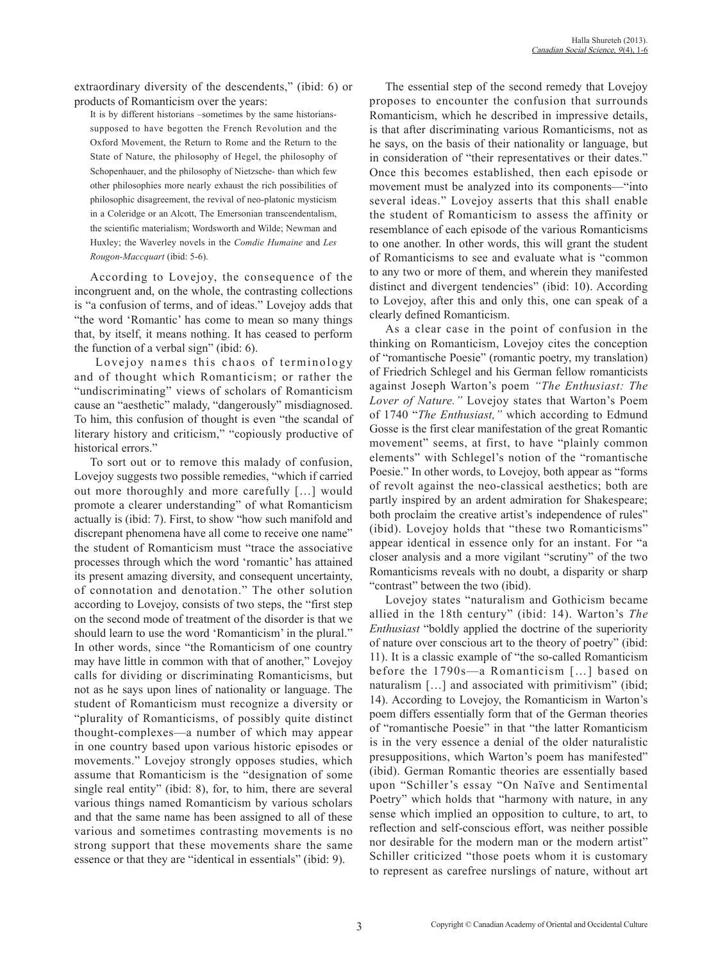extraordinary diversity of the descendents," (ibid: 6) or products of Romanticism over the years:

It is by different historians –sometimes by the same historianssupposed to have begotten the French Revolution and the Oxford Movement, the Return to Rome and the Return to the State of Nature, the philosophy of Hegel, the philosophy of Schopenhauer, and the philosophy of Nietzsche- than which few other philosophies more nearly exhaust the rich possibilities of philosophic disagreement, the revival of neo-platonic mysticism in a Coleridge or an Alcott, The Emersonian transcendentalism, the scientific materialism; Wordsworth and Wilde; Newman and Huxley; the Waverley novels in the *Comdie Humaine* and *Les Rougon-Maccquart* (ibid: 5-6).

According to Lovejoy, the consequence of the incongruent and, on the whole, the contrasting collections is "a confusion of terms, and of ideas." Lovejoy adds that "the word 'Romantic' has come to mean so many things that, by itself, it means nothing. It has ceased to perform the function of a verbal sign" (ibid: 6).

 Lovejoy names this chaos of terminology and of thought which Romanticism; or rather the "undiscriminating" views of scholars of Romanticism cause an "aesthetic" malady, "dangerously" misdiagnosed. To him, this confusion of thought is even "the scandal of literary history and criticism," "copiously productive of historical errors."

To sort out or to remove this malady of confusion, Lovejoy suggests two possible remedies, "which if carried out more thoroughly and more carefully […] would promote a clearer understanding" of what Romanticism actually is (ibid: 7). First, to show "how such manifold and discrepant phenomena have all come to receive one name" the student of Romanticism must "trace the associative processes through which the word 'romantic' has attained its present amazing diversity, and consequent uncertainty, of connotation and denotation." The other solution according to Lovejoy, consists of two steps, the "first step on the second mode of treatment of the disorder is that we should learn to use the word 'Romanticism' in the plural." In other words, since "the Romanticism of one country may have little in common with that of another," Lovejoy calls for dividing or discriminating Romanticisms, but not as he says upon lines of nationality or language. The student of Romanticism must recognize a diversity or "plurality of Romanticisms, of possibly quite distinct thought-complexes—a number of which may appear in one country based upon various historic episodes or movements." Lovejoy strongly opposes studies, which assume that Romanticism is the "designation of some single real entity" (ibid: 8), for, to him, there are several various things named Romanticism by various scholars and that the same name has been assigned to all of these various and sometimes contrasting movements is no strong support that these movements share the same essence or that they are "identical in essentials" (ibid: 9).

The essential step of the second remedy that Lovejoy proposes to encounter the confusion that surrounds Romanticism, which he described in impressive details, is that after discriminating various Romanticisms, not as he says, on the basis of their nationality or language, but in consideration of "their representatives or their dates." Once this becomes established, then each episode or movement must be analyzed into its components—"into several ideas." Lovejoy asserts that this shall enable the student of Romanticism to assess the affinity or resemblance of each episode of the various Romanticisms to one another. In other words, this will grant the student of Romanticisms to see and evaluate what is "common to any two or more of them, and wherein they manifested distinct and divergent tendencies" (ibid: 10). According to Lovejoy, after this and only this, one can speak of a clearly defined Romanticism.

As a clear case in the point of confusion in the thinking on Romanticism, Lovejoy cites the conception of "romantische Poesie" (romantic poetry, my translation) of Friedrich Schlegel and his German fellow romanticists against Joseph Warton's poem *"The Enthusiast: The Lover of Nature."* Lovejoy states that Warton's Poem of 1740 "*The Enthusiast,"* which according to Edmund Gosse is the first clear manifestation of the great Romantic movement" seems, at first, to have "plainly common elements" with Schlegel's notion of the "romantische Poesie." In other words, to Lovejoy, both appear as "forms of revolt against the neo-classical aesthetics; both are partly inspired by an ardent admiration for Shakespeare; both proclaim the creative artist's independence of rules" (ibid). Lovejoy holds that "these two Romanticisms" appear identical in essence only for an instant. For "a closer analysis and a more vigilant "scrutiny" of the two Romanticisms reveals with no doubt, a disparity or sharp "contrast" between the two (ibid).

Lovejoy states "naturalism and Gothicism became allied in the 18th century" (ibid: 14). Warton's *The Enthusiast* "boldly applied the doctrine of the superiority of nature over conscious art to the theory of poetry" (ibid: 11). It is a classic example of "the so-called Romanticism before the 1790s—a Romanticism […] based on naturalism [...] and associated with primitivism" (ibid; 14). According to Lovejoy, the Romanticism in Warton's poem differs essentially form that of the German theories of "romantische Poesie" in that "the latter Romanticism is in the very essence a denial of the older naturalistic presuppositions, which Warton's poem has manifested" (ibid). German Romantic theories are essentially based upon "Schiller's essay "On Naïve and Sentimental Poetry" which holds that "harmony with nature, in any sense which implied an opposition to culture, to art, to reflection and self-conscious effort, was neither possible nor desirable for the modern man or the modern artist" Schiller criticized "those poets whom it is customary to represent as carefree nurslings of nature, without art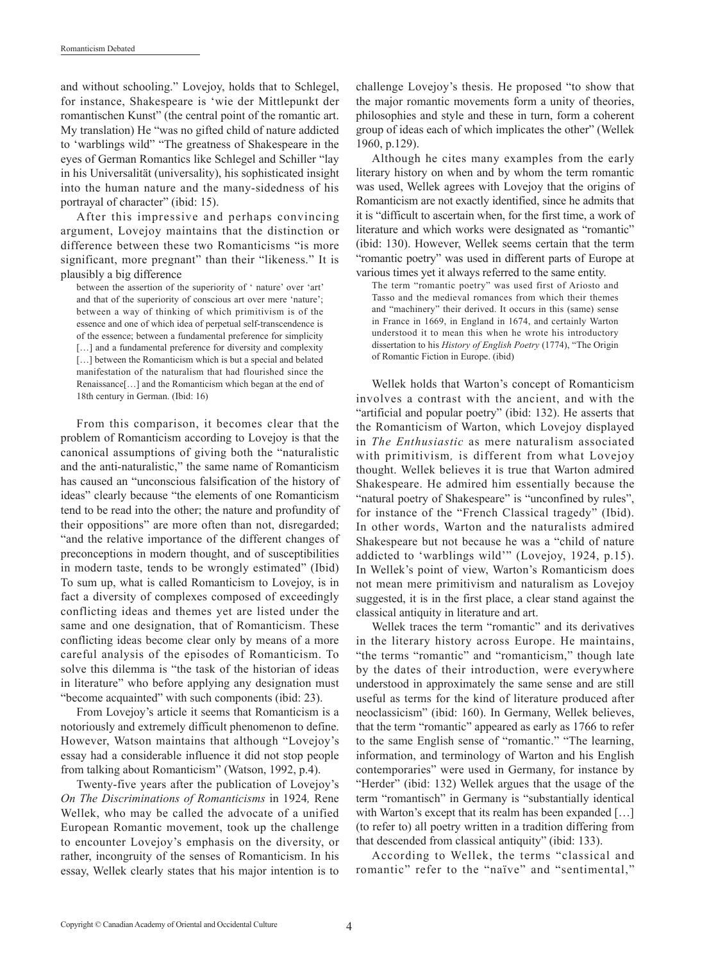and without schooling." Lovejoy, holds that to Schlegel, for instance, Shakespeare is 'wie der Mittlepunkt der romantischen Kunst" (the central point of the romantic art. My translation) He "was no gifted child of nature addicted to 'warblings wild" "The greatness of Shakespeare in the eyes of German Romantics like Schlegel and Schiller "lay in his Universalität (universality), his sophisticated insight into the human nature and the many-sidedness of his portrayal of character" (ibid: 15).

After this impressive and perhaps convincing argument, Lovejoy maintains that the distinction or difference between these two Romanticisms "is more significant, more pregnant" than their "likeness." It is plausibly a big difference

between the assertion of the superiority of ' nature' over 'art' and that of the superiority of conscious art over mere 'nature'; between a way of thinking of which primitivism is of the essence and one of which idea of perpetual self-transcendence is of the essence; between a fundamental preference for simplicity [...] and a fundamental preference for diversity and complexity [...] between the Romanticism which is but a special and belated manifestation of the naturalism that had flourished since the Renaissance[…] and the Romanticism which began at the end of 18th century in German. (Ibid: 16)

From this comparison, it becomes clear that the problem of Romanticism according to Lovejoy is that the canonical assumptions of giving both the "naturalistic and the anti-naturalistic," the same name of Romanticism has caused an "unconscious falsification of the history of ideas" clearly because "the elements of one Romanticism tend to be read into the other; the nature and profundity of their oppositions" are more often than not, disregarded; "and the relative importance of the different changes of preconceptions in modern thought, and of susceptibilities in modern taste, tends to be wrongly estimated" (Ibid) To sum up, what is called Romanticism to Lovejoy, is in fact a diversity of complexes composed of exceedingly conflicting ideas and themes yet are listed under the same and one designation, that of Romanticism. These conflicting ideas become clear only by means of a more careful analysis of the episodes of Romanticism. To solve this dilemma is "the task of the historian of ideas in literature" who before applying any designation must "become acquainted" with such components (ibid: 23).

From Lovejoy's article it seems that Romanticism is a notoriously and extremely difficult phenomenon to define. However, Watson maintains that although "Lovejoy's essay had a considerable influence it did not stop people from talking about Romanticism" (Watson, 1992, p.4).

Twenty-five years after the publication of Lovejoy's *On The Discriminations of Romanticisms* in 1924*,* Rene Wellek, who may be called the advocate of a unified European Romantic movement, took up the challenge to encounter Lovejoy's emphasis on the diversity, or rather, incongruity of the senses of Romanticism. In his essay, Wellek clearly states that his major intention is to challenge Lovejoy's thesis. He proposed "to show that the major romantic movements form a unity of theories, philosophies and style and these in turn, form a coherent group of ideas each of which implicates the other" (Wellek 1960, p.129).

Although he cites many examples from the early literary history on when and by whom the term romantic was used, Wellek agrees with Lovejoy that the origins of Romanticism are not exactly identified, since he admits that it is "difficult to ascertain when, for the first time, a work of literature and which works were designated as "romantic" (ibid: 130). However, Wellek seems certain that the term "romantic poetry" was used in different parts of Europe at various times yet it always referred to the same entity.

The term "romantic poetry" was used first of Ariosto and Tasso and the medieval romances from which their themes and "machinery" their derived. It occurs in this (same) sense in France in 1669, in England in 1674, and certainly Warton understood it to mean this when he wrote his introductory dissertation to his *History of English Poetry* (1774), "The Origin of Romantic Fiction in Europe. (ibid)

Wellek holds that Warton's concept of Romanticism involves a contrast with the ancient, and with the "artificial and popular poetry" (ibid: 132). He asserts that the Romanticism of Warton, which Lovejoy displayed in *The Enthusiastic* as mere naturalism associated with primitivism*,* is different from what Lovejoy thought. Wellek believes it is true that Warton admired Shakespeare. He admired him essentially because the "natural poetry of Shakespeare" is "unconfined by rules", for instance of the "French Classical tragedy" (Ibid). In other words, Warton and the naturalists admired Shakespeare but not because he was a "child of nature addicted to 'warblings wild'" (Lovejoy, 1924, p.15). In Wellek's point of view, Warton's Romanticism does not mean mere primitivism and naturalism as Lovejoy suggested, it is in the first place, a clear stand against the classical antiquity in literature and art.

Wellek traces the term "romantic" and its derivatives in the literary history across Europe. He maintains, "the terms "romantic" and "romanticism," though late by the dates of their introduction, were everywhere understood in approximately the same sense and are still useful as terms for the kind of literature produced after neoclassicism" (ibid: 160). In Germany, Wellek believes, that the term "romantic" appeared as early as 1766 to refer to the same English sense of "romantic." "The learning, information, and terminology of Warton and his English contemporaries" were used in Germany, for instance by "Herder" (ibid: 132) Wellek argues that the usage of the term "romantisch" in Germany is "substantially identical with Warton's except that its realm has been expanded [...] (to refer to) all poetry written in a tradition differing from that descended from classical antiquity" (ibid: 133).

According to Wellek, the terms "classical and romantic" refer to the "naïve" and "sentimental,"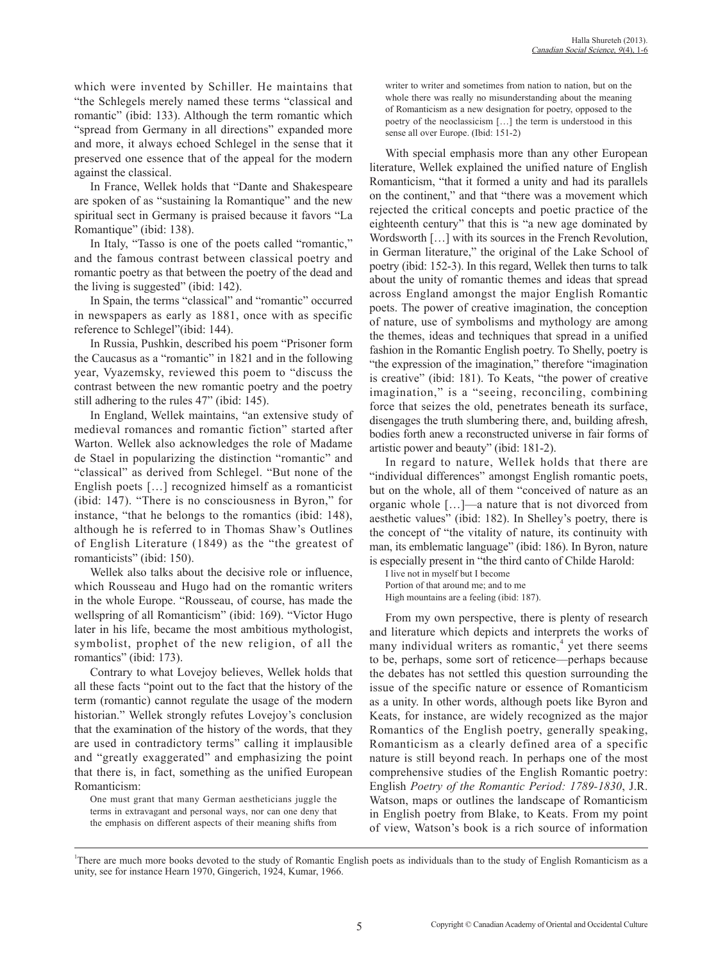which were invented by Schiller. He maintains that "the Schlegels merely named these terms "classical and romantic" (ibid: 133). Although the term romantic which "spread from Germany in all directions" expanded more and more, it always echoed Schlegel in the sense that it preserved one essence that of the appeal for the modern against the classical.

In France, Wellek holds that "Dante and Shakespeare are spoken of as "sustaining la Romantique" and the new spiritual sect in Germany is praised because it favors "La Romantique" (ibid: 138).

In Italy, "Tasso is one of the poets called "romantic," and the famous contrast between classical poetry and romantic poetry as that between the poetry of the dead and the living is suggested" (ibid: 142).

In Spain, the terms "classical" and "romantic" occurred in newspapers as early as 1881, once with as specific reference to Schlegel"(ibid: 144).

In Russia, Pushkin, described his poem "Prisoner form the Caucasus as a "romantic" in 1821 and in the following year, Vyazemsky, reviewed this poem to "discuss the contrast between the new romantic poetry and the poetry still adhering to the rules 47" (ibid: 145).

In England, Wellek maintains, "an extensive study of medieval romances and romantic fiction" started after Warton. Wellek also acknowledges the role of Madame de Stael in popularizing the distinction "romantic" and "classical" as derived from Schlegel. "But none of the English poets […] recognized himself as a romanticist (ibid: 147). "There is no consciousness in Byron," for instance, "that he belongs to the romantics (ibid: 148), although he is referred to in Thomas Shaw's Outlines of English Literature (1849) as the "the greatest of romanticists" (ibid: 150).

Wellek also talks about the decisive role or influence, which Rousseau and Hugo had on the romantic writers in the whole Europe. "Rousseau, of course, has made the wellspring of all Romanticism" (ibid: 169). "Victor Hugo later in his life, became the most ambitious mythologist, symbolist, prophet of the new religion, of all the romantics" (ibid: 173).

Contrary to what Lovejoy believes, Wellek holds that all these facts "point out to the fact that the history of the term (romantic) cannot regulate the usage of the modern historian." Wellek strongly refutes Lovejoy's conclusion that the examination of the history of the words, that they are used in contradictory terms" calling it implausible and "greatly exaggerated" and emphasizing the point that there is, in fact, something as the unified European Romanticism:

One must grant that many German aestheticians juggle the terms in extravagant and personal ways, nor can one deny that the emphasis on different aspects of their meaning shifts from writer to writer and sometimes from nation to nation, but on the whole there was really no misunderstanding about the meaning of Romanticism as a new designation for poetry, opposed to the poetry of the neoclassicism […] the term is understood in this sense all over Europe. (Ibid: 151-2)

With special emphasis more than any other European literature, Wellek explained the unified nature of English Romanticism, "that it formed a unity and had its parallels on the continent," and that "there was a movement which rejected the critical concepts and poetic practice of the eighteenth century" that this is "a new age dominated by Wordsworth […] with its sources in the French Revolution, in German literature," the original of the Lake School of poetry (ibid: 152-3). In this regard, Wellek then turns to talk about the unity of romantic themes and ideas that spread across England amongst the major English Romantic poets. The power of creative imagination, the conception of nature, use of symbolisms and mythology are among the themes, ideas and techniques that spread in a unified fashion in the Romantic English poetry. To Shelly, poetry is "the expression of the imagination," therefore "imagination is creative" (ibid: 181). To Keats, "the power of creative imagination," is a "seeing, reconciling, combining force that seizes the old, penetrates beneath its surface, disengages the truth slumbering there, and, building afresh, bodies forth anew a reconstructed universe in fair forms of artistic power and beauty" (ibid: 181-2).

In regard to nature, Wellek holds that there are "individual differences" amongst English romantic poets, but on the whole, all of them "conceived of nature as an organic whole […]—a nature that is not divorced from aesthetic values" (ibid: 182). In Shelley's poetry, there is the concept of "the vitality of nature, its continuity with man, its emblematic language" (ibid: 186). In Byron, nature is especially present in "the third canto of Childe Harold:

I live not in myself but I become Portion of that around me; and to me High mountains are a feeling (ibid: 187).

From my own perspective, there is plenty of research and literature which depicts and interprets the works of many individual writers as romantic, $<sup>4</sup>$  yet there seems</sup> to be, perhaps, some sort of reticence—perhaps because the debates has not settled this question surrounding the issue of the specific nature or essence of Romanticism as a unity. In other words, although poets like Byron and Keats, for instance, are widely recognized as the major Romantics of the English poetry, generally speaking, Romanticism as a clearly defined area of a specific nature is still beyond reach. In perhaps one of the most comprehensive studies of the English Romantic poetry: English *Poetry of the Romantic Period: 1789-1830*, J.R. Watson, maps or outlines the landscape of Romanticism in English poetry from Blake, to Keats. From my point of view, Watson's book is a rich source of information

<sup>&</sup>lt;sup>1</sup>There are much more books devoted to the study of Romantic English poets as individuals than to the study of English Romanticism as a unity, see for instance Hearn 1970, Gingerich, 1924, Kumar, 1966.